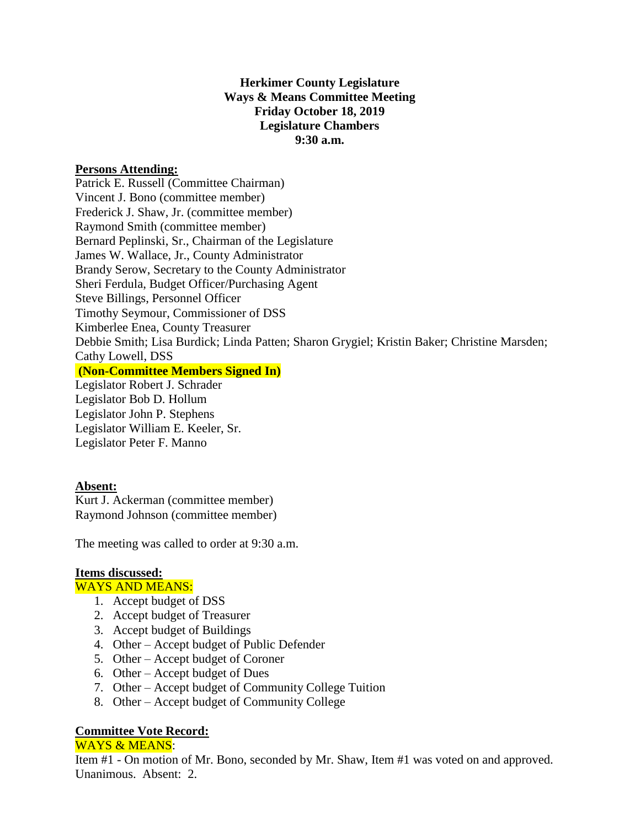## **Herkimer County Legislature Ways & Means Committee Meeting Friday October 18, 2019 Legislature Chambers 9:30 a.m.**

## **Persons Attending:**

Patrick E. Russell (Committee Chairman) Vincent J. Bono (committee member) Frederick J. Shaw, Jr. (committee member) Raymond Smith (committee member) Bernard Peplinski, Sr., Chairman of the Legislature James W. Wallace, Jr., County Administrator Brandy Serow, Secretary to the County Administrator Sheri Ferdula, Budget Officer/Purchasing Agent Steve Billings, Personnel Officer Timothy Seymour, Commissioner of DSS Kimberlee Enea, County Treasurer Debbie Smith; Lisa Burdick; Linda Patten; Sharon Grygiel; Kristin Baker; Christine Marsden; Cathy Lowell, DSS **(Non-Committee Members Signed In)** Legislator Robert J. Schrader

Legislator Bob D. Hollum Legislator John P. Stephens Legislator William E. Keeler, Sr. Legislator Peter F. Manno

## **Absent:**

Kurt J. Ackerman (committee member) Raymond Johnson (committee member)

The meeting was called to order at 9:30 a.m.

# **Items discussed:**

## WAYS AND MEANS:

- 1. Accept budget of DSS
- 2. Accept budget of Treasurer
- 3. Accept budget of Buildings
- 4. Other Accept budget of Public Defender
- 5. Other Accept budget of Coroner
- 6. Other Accept budget of Dues
- 7. Other Accept budget of Community College Tuition
- 8. Other Accept budget of Community College

## **Committee Vote Record:**

## WAYS & MEANS:

Item #1 - On motion of Mr. Bono, seconded by Mr. Shaw, Item #1 was voted on and approved. Unanimous. Absent: 2.